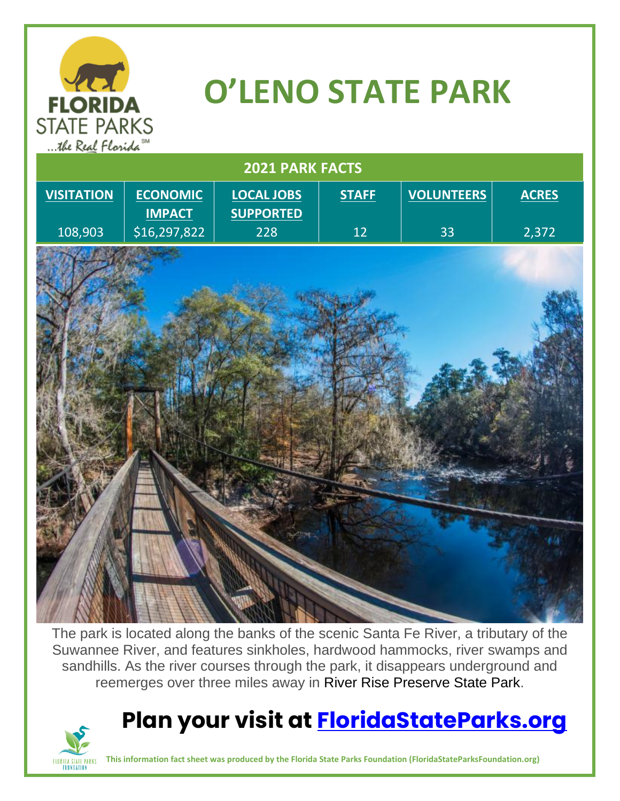

# **O'LENO STATE PARK**

| $\cdots$<br>$\cdots$<br>2021 PARK FACTS |                                  |                                       |              |                   |              |
|-----------------------------------------|----------------------------------|---------------------------------------|--------------|-------------------|--------------|
| <b>VISITATION</b>                       | <b>ECONOMIC</b><br><b>IMPACT</b> | <b>LOCAL JOBS</b><br><b>SUPPORTED</b> | <b>STAFF</b> | <b>VOLUNTEERS</b> | <b>ACRES</b> |
| 108,903                                 | \$16,297,822                     | 228                                   | 12           | 33                | 2,372        |
|                                         |                                  |                                       |              |                   |              |
|                                         |                                  |                                       |              |                   |              |
|                                         |                                  |                                       |              |                   |              |
|                                         |                                  |                                       |              |                   |              |
|                                         |                                  |                                       |              |                   |              |
|                                         |                                  |                                       |              |                   |              |
|                                         |                                  |                                       |              |                   |              |
|                                         |                                  |                                       |              |                   |              |
|                                         |                                  |                                       |              |                   |              |
|                                         |                                  |                                       |              |                   |              |
|                                         |                                  |                                       |              |                   |              |
|                                         |                                  |                                       |              |                   |              |
|                                         |                                  |                                       |              |                   |              |
|                                         |                                  |                                       |              |                   |              |
|                                         |                                  |                                       |              |                   |              |

The park is located along the banks of the scenic Santa Fe River, a tributary of the Suwannee River, and features sinkholes, hardwood hammocks, river swamps and sandhills. As the river courses through the park, it disappears underground and reemerges over three miles away in River Rise Preserve State Park.

## **Plan your visit at [FloridaStateParks.org](http://www.floridastateparks.org/)**



**This information fact sheet was produced by the Florida State Parks Foundation (FloridaStateParksFoundation.org)**